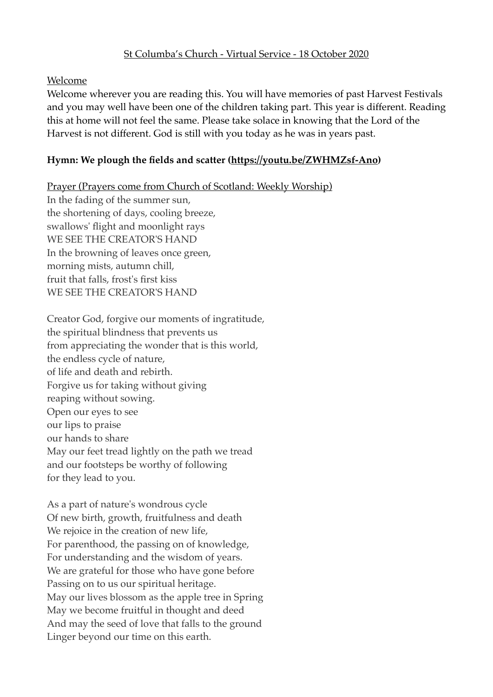#### St Columba's Church - Virtual Service - 18 October 2020

#### Welcome

Welcome wherever you are reading this. You will have memories of past Harvest Festivals and you may well have been one of the children taking part. This year is different. Reading this at home will not feel the same. Please take solace in knowing that the Lord of the Harvest is not different. God is still with you today as he was in years past.

#### **Hymn: We plough the fields and scatter [\(https://youtu.be/ZWHMZsf-Ano](https://youtu.be/ZWHMZsf-Ano))**

Prayer (Prayers come from Church of Scotland: Weekly Worship) In the fading of the summer sun, the shortening of days, cooling breeze, swallows' flight and moonlight rays WE SEE THE CREATOR'S HAND In the browning of leaves once green, morning mists, autumn chill, fruit that falls, frost's first kiss WE SEE THE CREATOR'S HAND

Creator God, forgive our moments of ingratitude, the spiritual blindness that prevents us from appreciating the wonder that is this world, the endless cycle of nature, of life and death and rebirth. Forgive us for taking without giving reaping without sowing. Open our eyes to see our lips to praise our hands to share May our feet tread lightly on the path we tread and our footsteps be worthy of following for they lead to you.

As a part of nature's wondrous cycle Of new birth, growth, fruitfulness and death We rejoice in the creation of new life, For parenthood, the passing on of knowledge, For understanding and the wisdom of years. We are grateful for those who have gone before Passing on to us our spiritual heritage. May our lives blossom as the apple tree in Spring May we become fruitful in thought and deed And may the seed of love that falls to the ground Linger beyond our time on this earth.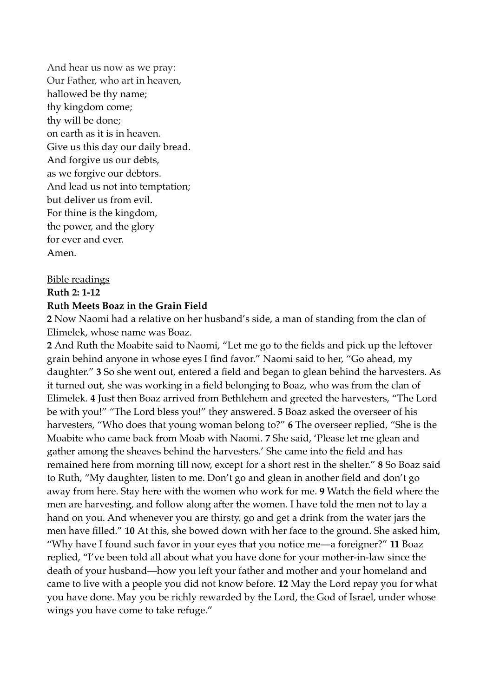And hear us now as we pray: Our Father, who art in heaven, hallowed be thy name; thy kingdom come; thy will be done; on earth as it is in heaven. Give us this day our daily bread. And forgive us our debts, as we forgive our debtors. And lead us not into temptation; but deliver us from evil. For thine is the kingdom, the power, and the glory for ever and ever. Amen.

#### Bible readings

#### **Ruth 2: 1-12**

#### **Ruth Meets Boaz in the Grain Field**

**2** Now Naomi had a relative on her husband's side, a man of standing from the clan of Elimelek, whose name was Boaz.

**2** And Ruth the Moabite said to Naomi, "Let me go to the fields and pick up the leftover grain behind anyone in whose eyes I find favor." Naomi said to her, "Go ahead, my daughter." **3** So she went out, entered a field and began to glean behind the harvesters. As it turned out, she was working in a field belonging to Boaz, who was from the clan of Elimelek. **4** Just then Boaz arrived from Bethlehem and greeted the harvesters, "The Lord be with you!" "The Lord bless you!" they answered. **5** Boaz asked the overseer of his harvesters, "Who does that young woman belong to?" **6** The overseer replied, "She is the Moabite who came back from Moab with Naomi. **7** She said, 'Please let me glean and gather among the sheaves behind the harvesters.' She came into the field and has remained here from morning till now, except for a short rest in the shelter." **8** So Boaz said to Ruth, "My daughter, listen to me. Don't go and glean in another field and don't go away from here. Stay here with the women who work for me. **9** Watch the field where the men are harvesting, and follow along after the women. I have told the men not to lay a hand on you. And whenever you are thirsty, go and get a drink from the water jars the men have filled." **10** At this, she bowed down with her face to the ground. She asked him, "Why have I found such favor in your eyes that you notice me—a foreigner?" **11** Boaz replied, "I've been told all about what you have done for your mother-in-law since the death of your husband—how you left your father and mother and your homeland and came to live with a people you did not know before. **12** May the Lord repay you for what you have done. May you be richly rewarded by the Lord, the God of Israel, under whose wings you have come to take refuge."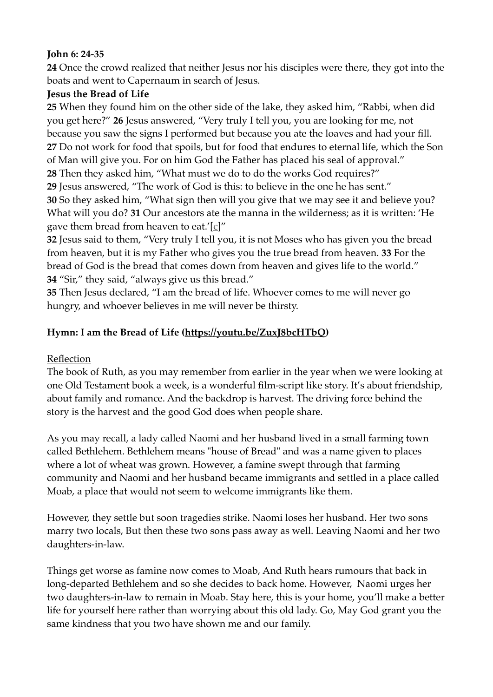#### **John 6: 24-35**

**24** Once the crowd realized that neither Jesus nor his disciples were there, they got into the boats and went to Capernaum in search of Jesus.

# **Jesus the Bread of Life**

**25** When they found him on the other side of the lake, they asked him, "Rabbi, when did you get here?" **26** Jesus answered, "Very truly I tell you, you are looking for me, not because you saw the signs I performed but because you ate the loaves and had your fill. **27** Do not work for food that spoils, but for food that endures to eternal life, which the Son of Man will give you. For on him God the Father has placed his seal of approval." **28** Then they asked him, "What must we do to do the works God requires?" **29** Jesus answered, "The work of God is this: to believe in the one he has sent." **30** So they asked him, "What sign then will you give that we may see it and believe you? What will you do? **31** Our ancestors ate the manna in the wilderness; as it is written: 'He gave them bread from heaven to eat.'[c]"

**32** Jesus said to them, "Very truly I tell you, it is not Moses who has given you the bread from heaven, but it is my Father who gives you the true bread from heaven. **33** For the bread of God is the bread that comes down from heaven and gives life to the world." **34** "Sir," they said, "always give us this bread."

**35** Then Jesus declared, "I am the bread of life. Whoever comes to me will never go hungry, and whoever believes in me will never be thirsty.

# **Hymn: I am the Bread of Life [\(https://youtu.be/ZuxJ8bcHTbQ](https://youtu.be/ZuxJ8bcHTbQ))**

# Reflection

The book of Ruth, as you may remember from earlier in the year when we were looking at one Old Testament book a week, is a wonderful film-script like story. It's about friendship, about family and romance. And the backdrop is harvest. The driving force behind the story is the harvest and the good God does when people share.

As you may recall, a lady called Naomi and her husband lived in a small farming town called Bethlehem. Bethlehem means "house of Bread" and was a name given to places where a lot of wheat was grown. However, a famine swept through that farming community and Naomi and her husband became immigrants and settled in a place called Moab, a place that would not seem to welcome immigrants like them.

However, they settle but soon tragedies strike. Naomi loses her husband. Her two sons marry two locals, But then these two sons pass away as well. Leaving Naomi and her two daughters-in-law.

Things get worse as famine now comes to Moab, And Ruth hears rumours that back in long-departed Bethlehem and so she decides to back home. However, Naomi urges her two daughters-in-law to remain in Moab. Stay here, this is your home, you'll make a better life for yourself here rather than worrying about this old lady. Go, May God grant you the same kindness that you two have shown me and our family.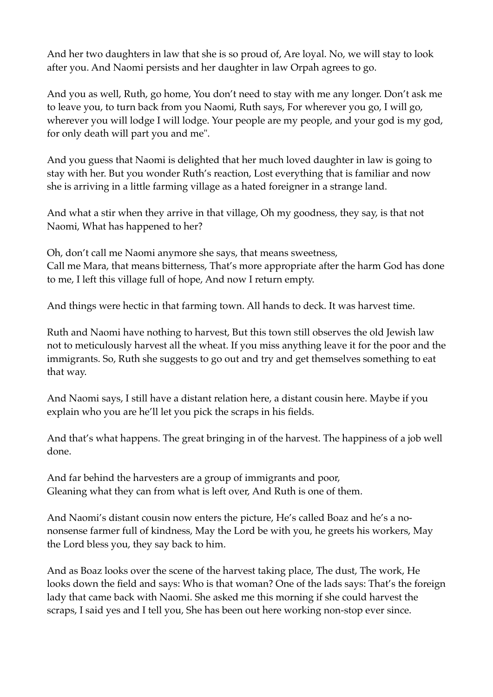And her two daughters in law that she is so proud of, Are loyal. No, we will stay to look after you. And Naomi persists and her daughter in law Orpah agrees to go.

And you as well, Ruth, go home, You don't need to stay with me any longer. Don't ask me to leave you, to turn back from you Naomi, Ruth says, For wherever you go, I will go, wherever you will lodge I will lodge. Your people are my people, and your god is my god, for only death will part you and me".

And you guess that Naomi is delighted that her much loved daughter in law is going to stay with her. But you wonder Ruth's reaction, Lost everything that is familiar and now she is arriving in a little farming village as a hated foreigner in a strange land.

And what a stir when they arrive in that village, Oh my goodness, they say, is that not Naomi, What has happened to her?

Oh, don't call me Naomi anymore she says, that means sweetness, Call me Mara, that means bitterness, That's more appropriate after the harm God has done to me, I left this village full of hope, And now I return empty.

And things were hectic in that farming town. All hands to deck. It was harvest time.

Ruth and Naomi have nothing to harvest, But this town still observes the old Jewish law not to meticulously harvest all the wheat. If you miss anything leave it for the poor and the immigrants. So, Ruth she suggests to go out and try and get themselves something to eat that way.

And Naomi says, I still have a distant relation here, a distant cousin here. Maybe if you explain who you are he'll let you pick the scraps in his fields.

And that's what happens. The great bringing in of the harvest. The happiness of a job well done.

And far behind the harvesters are a group of immigrants and poor, Gleaning what they can from what is left over, And Ruth is one of them.

And Naomi's distant cousin now enters the picture, He's called Boaz and he's a nononsense farmer full of kindness, May the Lord be with you, he greets his workers, May the Lord bless you, they say back to him.

And as Boaz looks over the scene of the harvest taking place, The dust, The work, He looks down the field and says: Who is that woman? One of the lads says: That's the foreign lady that came back with Naomi. She asked me this morning if she could harvest the scraps, I said yes and I tell you, She has been out here working non-stop ever since.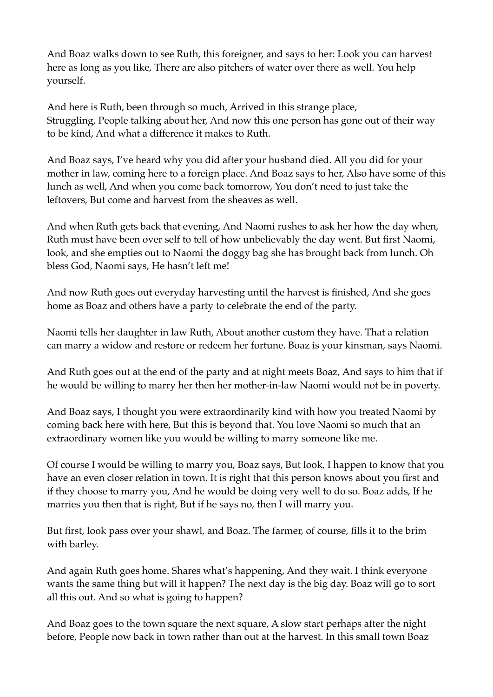And Boaz walks down to see Ruth, this foreigner, and says to her: Look you can harvest here as long as you like, There are also pitchers of water over there as well. You help yourself.

And here is Ruth, been through so much, Arrived in this strange place, Struggling, People talking about her, And now this one person has gone out of their way to be kind, And what a difference it makes to Ruth.

And Boaz says, I've heard why you did after your husband died. All you did for your mother in law, coming here to a foreign place. And Boaz says to her, Also have some of this lunch as well, And when you come back tomorrow, You don't need to just take the leftovers, But come and harvest from the sheaves as well.

And when Ruth gets back that evening, And Naomi rushes to ask her how the day when, Ruth must have been over self to tell of how unbelievably the day went. But first Naomi, look, and she empties out to Naomi the doggy bag she has brought back from lunch. Oh bless God, Naomi says, He hasn't left me!

And now Ruth goes out everyday harvesting until the harvest is finished, And she goes home as Boaz and others have a party to celebrate the end of the party.

Naomi tells her daughter in law Ruth, About another custom they have. That a relation can marry a widow and restore or redeem her fortune. Boaz is your kinsman, says Naomi.

And Ruth goes out at the end of the party and at night meets Boaz, And says to him that if he would be willing to marry her then her mother-in-law Naomi would not be in poverty.

And Boaz says, I thought you were extraordinarily kind with how you treated Naomi by coming back here with here, But this is beyond that. You love Naomi so much that an extraordinary women like you would be willing to marry someone like me.

Of course I would be willing to marry you, Boaz says, But look, I happen to know that you have an even closer relation in town. It is right that this person knows about you first and if they choose to marry you, And he would be doing very well to do so. Boaz adds, If he marries you then that is right, But if he says no, then I will marry you.

But first, look pass over your shawl, and Boaz. The farmer, of course, fills it to the brim with barley.

And again Ruth goes home. Shares what's happening, And they wait. I think everyone wants the same thing but will it happen? The next day is the big day. Boaz will go to sort all this out. And so what is going to happen?

And Boaz goes to the town square the next square, A slow start perhaps after the night before, People now back in town rather than out at the harvest. In this small town Boaz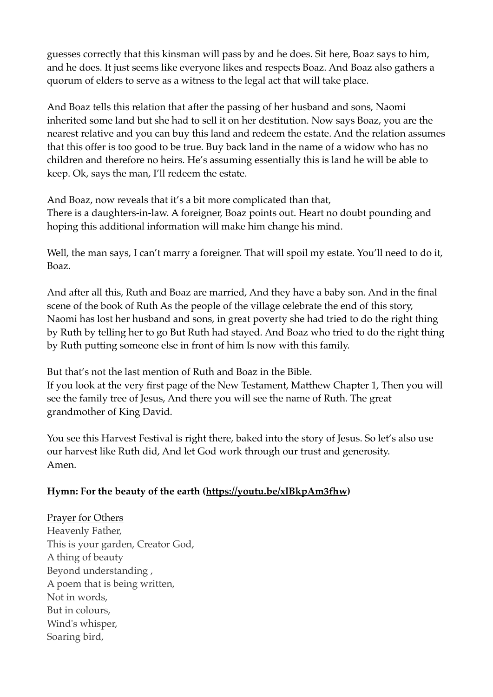guesses correctly that this kinsman will pass by and he does. Sit here, Boaz says to him, and he does. It just seems like everyone likes and respects Boaz. And Boaz also gathers a quorum of elders to serve as a witness to the legal act that will take place.

And Boaz tells this relation that after the passing of her husband and sons, Naomi inherited some land but she had to sell it on her destitution. Now says Boaz, you are the nearest relative and you can buy this land and redeem the estate. And the relation assumes that this offer is too good to be true. Buy back land in the name of a widow who has no children and therefore no heirs. He's assuming essentially this is land he will be able to keep. Ok, says the man, I'll redeem the estate.

And Boaz, now reveals that it's a bit more complicated than that, There is a daughters-in-law. A foreigner, Boaz points out. Heart no doubt pounding and hoping this additional information will make him change his mind.

Well, the man says, I can't marry a foreigner. That will spoil my estate. You'll need to do it, Boaz.

And after all this, Ruth and Boaz are married, And they have a baby son. And in the final scene of the book of Ruth As the people of the village celebrate the end of this story, Naomi has lost her husband and sons, in great poverty she had tried to do the right thing by Ruth by telling her to go But Ruth had stayed. And Boaz who tried to do the right thing by Ruth putting someone else in front of him Is now with this family.

But that's not the last mention of Ruth and Boaz in the Bible.

If you look at the very first page of the New Testament, Matthew Chapter 1, Then you will see the family tree of Jesus, And there you will see the name of Ruth. The great grandmother of King David.

You see this Harvest Festival is right there, baked into the story of Jesus. So let's also use our harvest like Ruth did, And let God work through our trust and generosity. Amen.

# **Hymn: For the beauty of the earth (<https://youtu.be/xlBkpAm3fhw>)**

Prayer for Others Heavenly Father, This is your garden, Creator God, A thing of beauty Beyond understanding , A poem that is being written, Not in words, But in colours, Wind's whisper, Soaring bird,